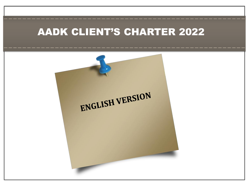## AADK CLIENT'S CHARTER 2022

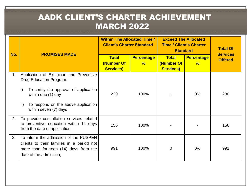## AADK CLIENT'S CHARTER ACHIEVEMENT MARCH 2022

| No. | <b>PROMISES MADE</b>                                                                                                                                  | <b>Within The Allocated Time /</b><br><b>Client's Charter Standard</b> |                        | <b>Exceed The Allocated</b><br><b>Time / Client's Charter</b><br><b>Standard</b> |                                    | <b>Total Of</b><br><b>Services</b> |
|-----|-------------------------------------------------------------------------------------------------------------------------------------------------------|------------------------------------------------------------------------|------------------------|----------------------------------------------------------------------------------|------------------------------------|------------------------------------|
|     |                                                                                                                                                       | <b>Total</b><br>(Number Of<br><b>Services)</b>                         | <b>Percentage</b><br>% | <b>Total</b><br>(Number Of<br><b>Services)</b>                                   | <b>Percentage</b><br>$\frac{9}{6}$ | <b>Offered</b>                     |
| 1.  | Application of Exhibition and Preventive<br>Drug Education Program:                                                                                   |                                                                        |                        |                                                                                  |                                    |                                    |
|     | i)<br>To certify the approval of application<br>within one (1) day                                                                                    | 229                                                                    | 100%                   |                                                                                  | 0%                                 | 230                                |
|     | ii)<br>To respond on the above application<br>within seven (7) days                                                                                   |                                                                        |                        |                                                                                  |                                    |                                    |
| 2.  | To provide consultation services related<br>to preventive education within 14 days<br>from the date of application                                    | 156                                                                    | 100%                   |                                                                                  |                                    | 156                                |
| 3.  | To inform the admission of the PUSPEN<br>clients to their families in a period not<br>more than fourteen (14) days from the<br>date of the admission; | 991                                                                    | 100%                   | $\Omega$                                                                         | $0\%$                              | 991                                |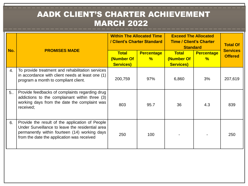## AADK CLIENT'S CHARTER ACHIEVEMENT MARCH 2022

| No. | <b>PROMISES MADE</b>                                                                                                                                                                               | <b>Within The Allocated Time</b><br>/ Client's Charter Standard |                                    | <b>Exceed The Allocated</b><br><b>Time / Client's Charter</b><br><b>Standard</b> |                        | <b>Total Of</b>                   |
|-----|----------------------------------------------------------------------------------------------------------------------------------------------------------------------------------------------------|-----------------------------------------------------------------|------------------------------------|----------------------------------------------------------------------------------|------------------------|-----------------------------------|
|     |                                                                                                                                                                                                    | <b>Total</b><br>(Number Of<br><b>Services)</b>                  | <b>Percentage</b><br>$\frac{9}{6}$ | <b>Total</b><br>(Number Of<br><b>Services)</b>                                   | <b>Percentage</b><br>% | <b>Services</b><br><b>Offered</b> |
| 4.  | To provide treatment and rehabilitation services<br>in accordance with client needs at least one (1)<br>program a month to compliant client.                                                       | 200,759                                                         | 97%                                | 6,860                                                                            | 3%                     | 207,619                           |
| 5.  | Provide feedbacks of complaints regarding drug<br>addictions to the complainant within three (3)<br>working days from the date the complaint was<br>received;                                      | 803                                                             | 95.7                               | 36                                                                               | 4.3                    | 839                               |
| 6.  | Provide the result of the application of People<br>Under Surveillance to leave the residential area<br>permanently within fourteen (14) working days<br>from the date the application was received | 250                                                             | 100                                |                                                                                  |                        | 250                               |